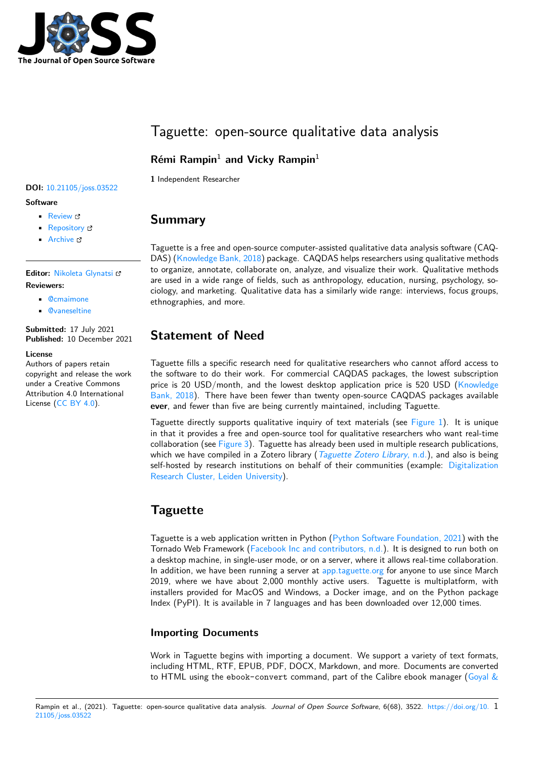

# Taguette: open-source qualitative data analysis

## **Rémi Rampin**<sup>1</sup> **and Vicky Rampin**<sup>1</sup>

**1** Independent Researcher

### **DOI:** 10.21105/joss.03522

### **Software**

- Review &
- [Repository](https://doi.org/10.21105/joss.03522) &
- Archive

### **Editor:** [Nikoleta](https://gitlab.com/remram44/taguette) Glynatsi

### **Revie[wers:](https://doi.org/10.5281/zenodo.5574555)**

- @cmaimone
- @[vaneseltine](https://nikoleta-v3.github.io)

**Submitted:** 17 July 2021 **Published:** [10 Dec](https://github.com/cmaimone)ember 2021

#### **License**

Autho[rs of papers r](https://github.com/vaneseltine)etain copyright and release the work under a Creative Commons Attribution 4.0 International License (CC BY 4.0).

# **Summary**

Taguette is a free and open-source computer-assisted qualitative data analysis software (CAQ-DAS) (Knowledge Bank, 2018) package. CAQDAS helps researchers using qualitative methods to organize, annotate, collaborate on, analyze, and visualize their work. Qualitative methods are used in a wide range of fields, such as anthropology, education, nursing, psychology, sociology, and marketing. Qualitative data has a similarly wide range: interviews, focus groups, ethnog[raphies, and more.](#page-4-0)

# **Statement of Need**

Taguette fills a specific research need for qualitative researchers who cannot afford access to the software to do their work. For commercial CAQDAS packages, the lowest subscription price is 20 USD/month, and the lowest desktop application price is 520 USD (Knowledge Bank, 2018). There have been fewer than twenty open-source CAQDAS packages available **ever**, and fewer than five are being currently maintained, including Taguette.

Taguette directly supports qualitative inquiry of text materials (see Figure 1). It is unique in that it provides a free and open-source tool for qualitative researchers who wa[nt real-time](#page-4-0) [collaboratio](#page-4-0)n (see Figure 3). Taguette has already been used in multiple research publications, which we have compiled in a Zotero library (*Taguette Zotero Library*, n.d.), and also is being self-hosted by research institutions on behalf of their communities ([example:](#page-1-0) Digitalization Research Cluster, Leiden University).

# **[Taguette](https://taguette.leiden.digital/)**

Taguette is a web application written in Python (Python Software Foundation, 2021) with the Tornado Web Framework (Facebook Inc and contributors, n.d.). It is designed to run both on a desktop machine, in single-user mode, or on a server, where it allows real-time collaboration. In addition, we have been running a server at app.taguette.org for anyone to use since March 2019, where we have about 2,000 monthly ac[tive users. Taguette is multiplatfo](#page-4-1)rm, with installers provided for Ma[cOS and Windows, a Docker image](#page-4-2), and on the Python package Index (PyPI). It is available in 7 languages and has been downloaded over 12,000 times.

### **Importing Documents**

Work in Taguette begins with importing a document. We support a variety of text formats, including HTML, RTF, EPUB, PDF, DOCX, Markdown, and more. Documents are converted to HTML using the ebook-convert command, part of the Calibre ebook manager (Goyal  $\&$ 

#### Rampin et al., (2021). Taguette: open-source qualitative data analysis. Journal of Open Source Software, 6(68), 3522. https://doi.org/10. 1 21105/joss.03522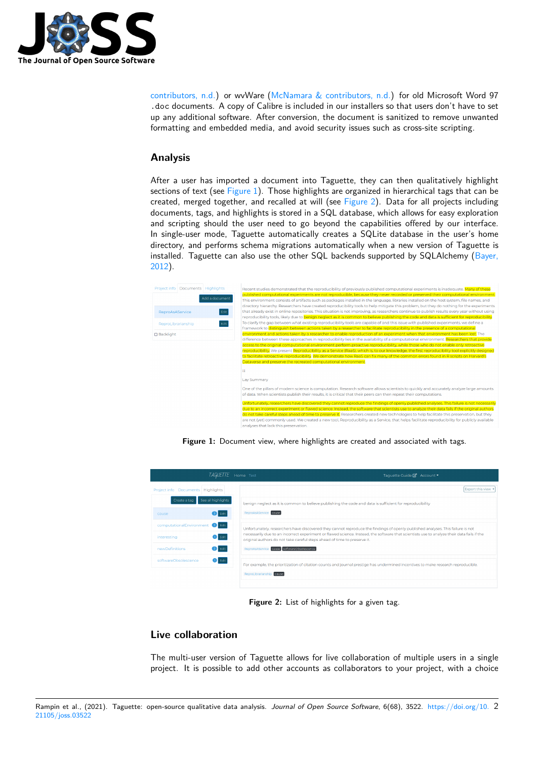

contributors, n.d.) or wvWare (McNamara & contributors, n.d.) for old Microsoft Word 97 .doc documents. A copy of Calibre is included in our installers so that users don't have to set up any additional software. After conversion, the document is sanitized to remove unwanted formatting and embedded media, and avoid security issues such as cross-site scripting.

### **Analysis**

After a user has imported a document into Taguette, they can then qualitatively highlight sections of text (see Figure 1). Those highlights are organized in hierarchical tags that can be created, merged together, and recalled at will (see Figure 2). Data for all projects including documents, tags, and highlights is stored in a SQL database, which allows for easy exploration and scripting should the user need to go beyond the capabilities offered by our interface. In single-user mode[, Taguett](#page-1-0)e automatically creates a SQLite database in the user's home directory, and performs schema migrations automa[tically wh](#page-1-1)en a new version of Taguette is installed. Taguette can also use the other  $SQL$  backends supported by  $SQL$  Alchemy (Bayer, 2012).

<span id="page-1-0"></span>

| Project info                   | Documents Highlights |                                                                                                                                             | Recent studies demonstrated that the reproducibility of previously published computational experiments is inadequate. Many of these                                                                                                                                                     |  |  |  |  |
|--------------------------------|----------------------|---------------------------------------------------------------------------------------------------------------------------------------------|-----------------------------------------------------------------------------------------------------------------------------------------------------------------------------------------------------------------------------------------------------------------------------------------|--|--|--|--|
|                                |                      |                                                                                                                                             | published computational experiments are not reproducible, because they never recorded or preserved their computational environment.                                                                                                                                                     |  |  |  |  |
|                                |                      | Add a document                                                                                                                              | This environment consists of artifacts such as packages installed in the language, libraries installed on the host system, file names, and                                                                                                                                              |  |  |  |  |
|                                |                      |                                                                                                                                             | directory hierarchy. Researchers have created reproducibility tools to help mitigate this problem, but they do nothing for the experiments                                                                                                                                              |  |  |  |  |
| Edit<br><b>ReproAsAService</b> |                      |                                                                                                                                             | that already exist in online repositories. This situation is not improving, as researchers continue to publish results every year without using                                                                                                                                         |  |  |  |  |
|                                |                      |                                                                                                                                             | reproducibility tools, likely due to benign neglect as it is common to believe publishing the code and data is sufficient for reproducibility.                                                                                                                                          |  |  |  |  |
| Edit<br>ReproLibrarianship     |                      |                                                                                                                                             | To clarify the gap between what existing reproducibility tools are capable of and this issue with published experiments, we define a                                                                                                                                                    |  |  |  |  |
|                                |                      |                                                                                                                                             | framework to distinguish between actions taken by a researcher to facilitate reproducibility in the presence of a computational                                                                                                                                                         |  |  |  |  |
| <b>Backlight</b>               |                      |                                                                                                                                             | environment and actions taken by a researcher to enable reproduction of an experiment when that environment has been lost. The                                                                                                                                                          |  |  |  |  |
|                                |                      |                                                                                                                                             | difference between these approaches in reproducibility lies in the availability of a computational environment. Researchers that provide                                                                                                                                                |  |  |  |  |
|                                |                      |                                                                                                                                             | access to the original computational environment perform proactive reproducibility, while those who do not enable only retroactive                                                                                                                                                      |  |  |  |  |
|                                |                      |                                                                                                                                             | reproducibility. We present Reproducibility as a Service (RaaS), which is, to our knowledge, the first reproducibility tool explicitly designed<br>to facilitate retroactive reproducibility. We demonstrate how RaaS can fix many of the common errors found in R scripts on Harvard's |  |  |  |  |
|                                |                      |                                                                                                                                             |                                                                                                                                                                                                                                                                                         |  |  |  |  |
|                                |                      |                                                                                                                                             | Dataverse and preserve the recreated computational environment.                                                                                                                                                                                                                         |  |  |  |  |
|                                |                      |                                                                                                                                             | 畄                                                                                                                                                                                                                                                                                       |  |  |  |  |
|                                |                      |                                                                                                                                             | Lay Summary                                                                                                                                                                                                                                                                             |  |  |  |  |
|                                |                      |                                                                                                                                             | One of the pillars of modern science is computation. Research software allows scientists to quickly and accurately analyze large amounts<br>of data. When scientists publish their results, it is critical that their peers can then repeat their computations.                         |  |  |  |  |
|                                |                      | Unfortunately, researchers have discovered they cannot reproduce the findings of openly published analyses. This failure is not necessarily |                                                                                                                                                                                                                                                                                         |  |  |  |  |
|                                |                      |                                                                                                                                             | due to an incorrect experiment or flawed science. Instead, the software that scientists use to analyze their data fails if the original authors                                                                                                                                         |  |  |  |  |
|                                |                      |                                                                                                                                             | do not take careful steps ahead of time to preserve it. Researchers created new technologies to help facilitate this preservation, but they                                                                                                                                             |  |  |  |  |
|                                |                      |                                                                                                                                             | are not (yet) commonly used. We created a new tool. Reproducibility as a Service, that helps facilitate reproducibility for publicly available<br>analyses that lack this preservation.                                                                                                 |  |  |  |  |

**Figure 1:** Document view, where highlights are created and associated with tags.

<span id="page-1-1"></span>

| <i><b>I AGUETTE</b></i>            | Taquette Guide <sup>7</sup> Account<br>Home Test                                                                                                                                                                       |  |  |  |  |
|------------------------------------|------------------------------------------------------------------------------------------------------------------------------------------------------------------------------------------------------------------------|--|--|--|--|
| Project info Documents Highlights  | Export this view                                                                                                                                                                                                       |  |  |  |  |
| See all highlights<br>Create a tag | benign neglect as it is common to believe publishing the code and data is sufficient for reproducibility                                                                                                               |  |  |  |  |
| $3$ Edit<br>cause                  | ReproAsAService cause                                                                                                                                                                                                  |  |  |  |  |
| 2 Edit<br>computationalEnvironment | Unfortunately, researchers have discovered they cannot reproduce the findings of openly published analyses. This failure is not                                                                                        |  |  |  |  |
| $1$ Edit<br>interesting            | necessarily due to an incorrect experiment or flawed science. Instead, the software that scientists use to analyze their data fails if the<br>original authors do not take careful steps ahead of time to preserve it. |  |  |  |  |
| $2$ Edit<br>newDefinitions         | ReproAsAService cause softwareObsolescence                                                                                                                                                                             |  |  |  |  |
| $1$ Edit<br>softwareObsolescence   | For example, the prioritization of citation counts and journal prestige has undermined incentives to make research reproducible.                                                                                       |  |  |  |  |
|                                    | ReproLibrarianship cause                                                                                                                                                                                               |  |  |  |  |
|                                    |                                                                                                                                                                                                                        |  |  |  |  |

**Figure 2:** List of highlights for a given tag.

### **Live collaboration**

The multi-user version of Taguette allows for live collaboration of multiple users in a single project. It is possible to add other accounts as collaborators to your project, with a choice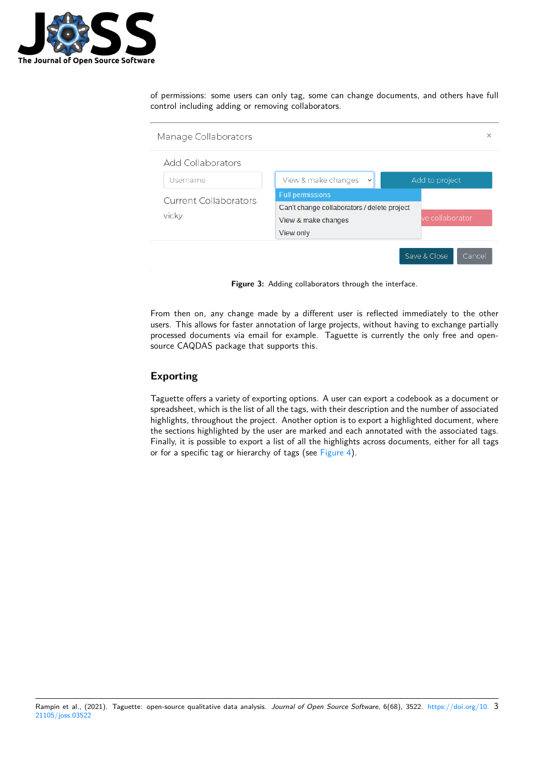

of permissions: some users can only tag, some can change documents, and others have full control including adding or removing collaborators.

| Manage Collaborators   |                                             |  |                 |  |  |  |  |  |
|------------------------|---------------------------------------------|--|-----------------|--|--|--|--|--|
| Add Collaborators      |                                             |  |                 |  |  |  |  |  |
| Username               | View & make changes<br>$\checkmark$         |  | Add to project  |  |  |  |  |  |
| Current Collaborators  | <b>Full permissions</b>                     |  |                 |  |  |  |  |  |
|                        | Can't change collaborators / delete project |  |                 |  |  |  |  |  |
| vicky                  | View & make changes                         |  | ve collaborator |  |  |  |  |  |
|                        | View only                                   |  |                 |  |  |  |  |  |
| Save & Close<br>Cancel |                                             |  |                 |  |  |  |  |  |

**Figure 3:** Adding collaborators through the interface.

From then on, any change made by a different user is reflected immediately to the other users. This allows for faster annotation of large projects, without having to exchange partially processed documents via email for example. Taguette is currently the only free and opensource CAQDAS package that supports this.

### **Exporting**

Taguette offers a variety of exporting options. A user can export a codebook as a document or spreadsheet, which is the list of all the tags, with their description and the number of associated highlights, throughout the project. Another option is to export a highlighted document, where the sections highlighted by the user are marked and each annotated with the associated tags. Finally, it is possible to export a list of all the highlights across documents, either for all tags or for a specific tag or hierarchy of tags (see Figure 4).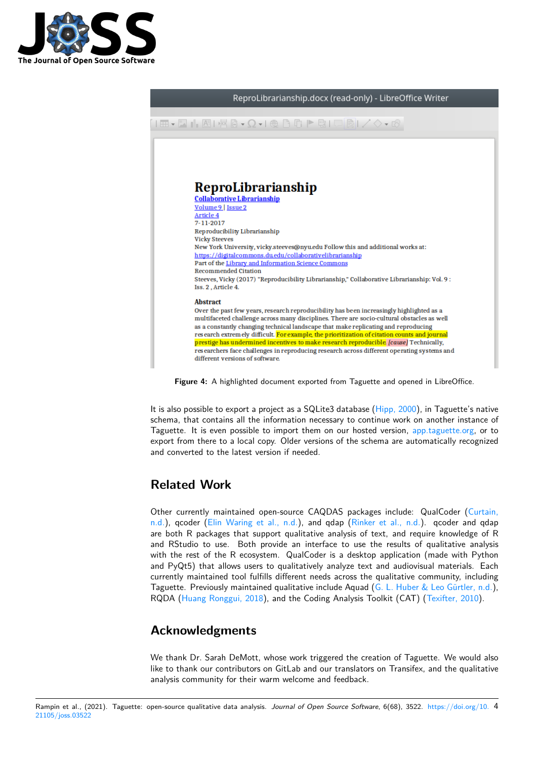



**Figure 4:** A highlighted document exported from Taguette and opened in LibreOffice.

It is also possible to export a project as a SQLite3 database (Hipp, 2000), in Taguette's native schema, that contains all the information necessary to continue work on another instance of Taguette. It is even possible to import them on our hosted version, app.taguette.org, or to export from there to a local copy. Older versions of the schema are automatically recognized and converted to the latest version if needed.

# **Related Work**

Other currently maintained open-source CAQDAS packages include: QualCoder (Curtain, n.d.), qcoder (Elin Waring et al., n.d.), and qdap (Rinker et al., n.d.). qcoder and qdap are both R packages that support qualitative analysis of text, and require knowledge of R and RStudio to use. Both provide an interface to use the results of qualitative analysis with the rest of the R ecosystem. QualCoder is a desktop application (made with [Python](#page-4-3) [and](#page-4-3) PyQt5) th[at allows users to qualit](#page-4-4)atively analyz[e text and audiovis](#page-4-5)ual materials. Each currently maintained tool fulfills different needs across the qualitative community, including Taguette. Previously maintained qualitative include Aquad (G. L. Huber & Leo Gürtler, n.d.), RQDA (Huang Ronggui, 2018), and the Coding Analysis Toolkit (CAT) (Texifter, 2010).

## **Ackn[owledgments](#page-4-6)**

We thank Dr. Sarah DeMott, whose work triggered the creation of Taguette. We would also like to thank our contributors on GitLab and our translators on Transifex, and the qualitative analysis community for their warm welcome and feedback.